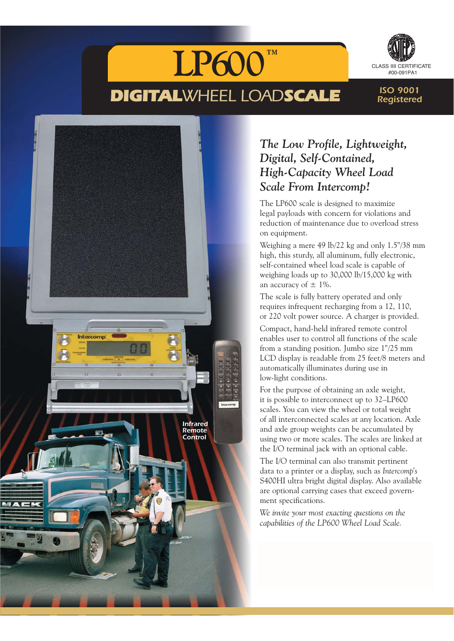

Infrared Remote Control



ISO 9001 Registered

# *The Low Profile, Lightweight, Digital, Self-Contained, High-Capacity Wheel Load Scale From Intercomp!*

The LP600 scale is designed to maximize legal payloads with concern for violations and reduction of maintenance due to overload stress on equipment.

Weighing a mere 49 lb/22 kg and only 1.5"/38 mm high, this sturdy, all aluminum, fully electronic, self-contained wheel load scale is capable of weighing loads up to 30,000 lb/15,000 kg with an accuracy of  $\pm$  1%.

The scale is fully battery operated and only requires infrequent recharging from a 12, 110, or 220 volt power source. A charger is provided.

Compact, hand-held infrared remote control enables user to control all functions of the scale from a standing position. Jumbo size 1"/25 mm LCD display is readable from 25 feet/8 meters and automatically illuminates during use in low-light conditions.

For the purpose of obtaining an axle weight, it is possible to interconnect up to 32–LP600 scales. You can view the wheel or total weight of all interconnected scales at any location. Axle and axle group weights can be accumulated by using two or more scales. The scales are linked at the I/O terminal jack with an optional cable.

The I/O terminal can also transmit pertinent data to a printer or a display, such as *Intercomp's* S400HI ultra bright digital display. Also available are optional carrying cases that exceed government specifications.

*We invite your most exacting questions on the capabilities of the LP600 Wheel Load Scale.*